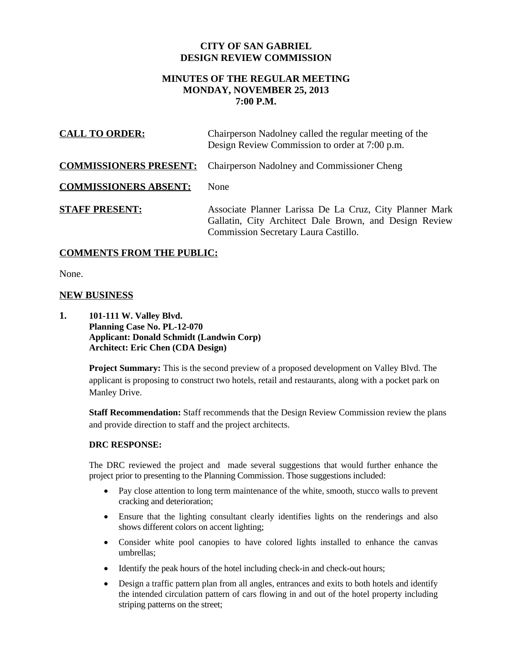## **CITY OF SAN GABRIEL DESIGN REVIEW COMMISSION**

# **MINUTES OF THE REGULAR MEETING MONDAY, NOVEMBER 25, 2013 7:00 P.M.**

| <b>CALL TO ORDER:</b>        | Chairperson Nadolney called the regular meeting of the<br>Design Review Commission to order at 7:00 p.m.                                                  |
|------------------------------|-----------------------------------------------------------------------------------------------------------------------------------------------------------|
|                              | <b>COMMISSIONERS PRESENT:</b> Chairperson Nadolney and Commissioner Cheng                                                                                 |
| <b>COMMISSIONERS ABSENT:</b> | None                                                                                                                                                      |
| <b>STAFF PRESENT:</b>        | Associate Planner Larissa De La Cruz, City Planner Mark<br>Gallatin, City Architect Dale Brown, and Design Review<br>Commission Secretary Laura Castillo. |

## **COMMENTS FROM THE PUBLIC:**

None.

## **NEW BUSINESS**

**1. 101-111 W. Valley Blvd. Planning Case No. PL-12-070 Applicant: Donald Schmidt (Landwin Corp) Architect: Eric Chen (CDA Design)**

> **Project Summary:** This is the second preview of a proposed development on Valley Blvd. The applicant is proposing to construct two hotels, retail and restaurants, along with a pocket park on Manley Drive.

**Staff Recommendation:** Staff recommends that the Design Review Commission review the plans and provide direction to staff and the project architects.

### **DRC RESPONSE:**

The DRC reviewed the project and made several suggestions that would further enhance the project prior to presenting to the Planning Commission. Those suggestions included:

- Pay close attention to long term maintenance of the white, smooth, stucco walls to prevent cracking and deterioration;
- Ensure that the lighting consultant clearly identifies lights on the renderings and also shows different colors on accent lighting;
- Consider white pool canopies to have colored lights installed to enhance the canvas umbrellas;
- Identify the peak hours of the hotel including check-in and check-out hours;
- Design a traffic pattern plan from all angles, entrances and exits to both hotels and identify the intended circulation pattern of cars flowing in and out of the hotel property including striping patterns on the street;